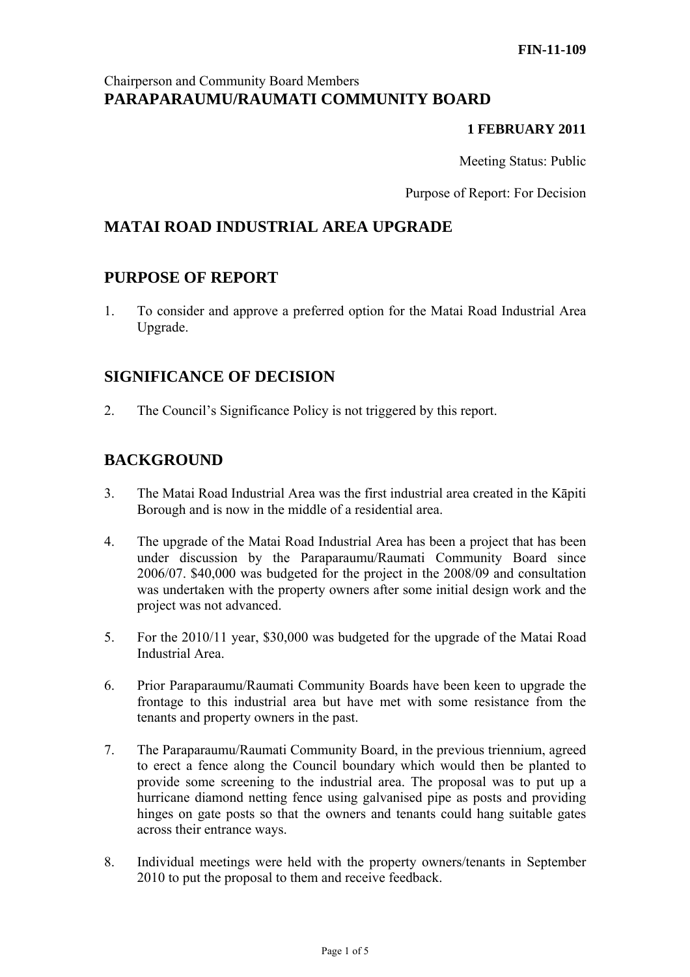## Chairperson and Community Board Members **PARAPARAUMU/RAUMATI COMMUNITY BOARD**

#### **1 FEBRUARY 2011**

Meeting Status: Public

Purpose of Report: For Decision

# **MATAI ROAD INDUSTRIAL AREA UPGRADE**

## **PURPOSE OF REPORT**

1. To consider and approve a preferred option for the Matai Road Industrial Area Upgrade.

## **SIGNIFICANCE OF DECISION**

2. The Council's Significance Policy is not triggered by this report.

# **BACKGROUND**

- 3. The Matai Road Industrial Area was the first industrial area created in the Kāpiti Borough and is now in the middle of a residential area.
- 4. The upgrade of the Matai Road Industrial Area has been a project that has been under discussion by the Paraparaumu/Raumati Community Board since 2006/07. \$40,000 was budgeted for the project in the 2008/09 and consultation was undertaken with the property owners after some initial design work and the project was not advanced.
- 5. For the 2010/11 year, \$30,000 was budgeted for the upgrade of the Matai Road Industrial Area.
- 6. Prior Paraparaumu/Raumati Community Boards have been keen to upgrade the frontage to this industrial area but have met with some resistance from the tenants and property owners in the past.
- 7. The Paraparaumu/Raumati Community Board, in the previous triennium, agreed to erect a fence along the Council boundary which would then be planted to provide some screening to the industrial area. The proposal was to put up a hurricane diamond netting fence using galvanised pipe as posts and providing hinges on gate posts so that the owners and tenants could hang suitable gates across their entrance ways.
- 8. Individual meetings were held with the property owners/tenants in September 2010 to put the proposal to them and receive feedback.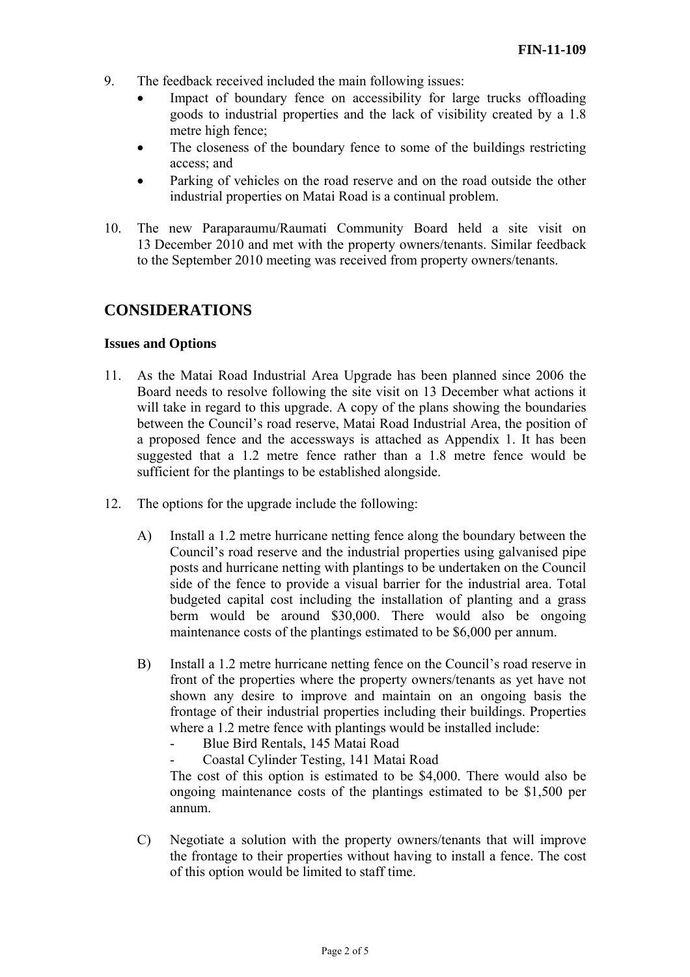- 9. The feedback received included the main following issues:
	- Impact of boundary fence on accessibility for large trucks offloading goods to industrial properties and the lack of visibility created by a 1.8 metre high fence;
	- The closeness of the boundary fence to some of the buildings restricting access; and
	- Parking of vehicles on the road reserve and on the road outside the other industrial properties on Matai Road is a continual problem.
- 10. The new Paraparaumu/Raumati Community Board held a site visit on 13 December 2010 and met with the property owners/tenants. Similar feedback to the September 2010 meeting was received from property owners/tenants.

## **CONSIDERATIONS**

#### **Issues and Options**

- 11. As the Matai Road Industrial Area Upgrade has been planned since 2006 the Board needs to resolve following the site visit on 13 December what actions it will take in regard to this upgrade. A copy of the plans showing the boundaries between the Council's road reserve, Matai Road Industrial Area, the position of a proposed fence and the accessways is attached as Appendix 1. It has been suggested that a 1.2 metre fence rather than a 1.8 metre fence would be sufficient for the plantings to be established alongside.
- 12. The options for the upgrade include the following:
	- A) Install a 1.2 metre hurricane netting fence along the boundary between the Council's road reserve and the industrial properties using galvanised pipe posts and hurricane netting with plantings to be undertaken on the Council side of the fence to provide a visual barrier for the industrial area. Total budgeted capital cost including the installation of planting and a grass berm would be around \$30,000. There would also be ongoing maintenance costs of the plantings estimated to be \$6,000 per annum.
	- B) Install a 1.2 metre hurricane netting fence on the Council's road reserve in front of the properties where the property owners/tenants as yet have not shown any desire to improve and maintain on an ongoing basis the frontage of their industrial properties including their buildings. Properties where a 1.2 metre fence with plantings would be installed include:
		- Blue Bird Rentals, 145 Matai Road
		- Coastal Cylinder Testing, 141 Matai Road

The cost of this option is estimated to be \$4,000. There would also be ongoing maintenance costs of the plantings estimated to be \$1,500 per annum.

C) Negotiate a solution with the property owners/tenants that will improve the frontage to their properties without having to install a fence. The cost of this option would be limited to staff time.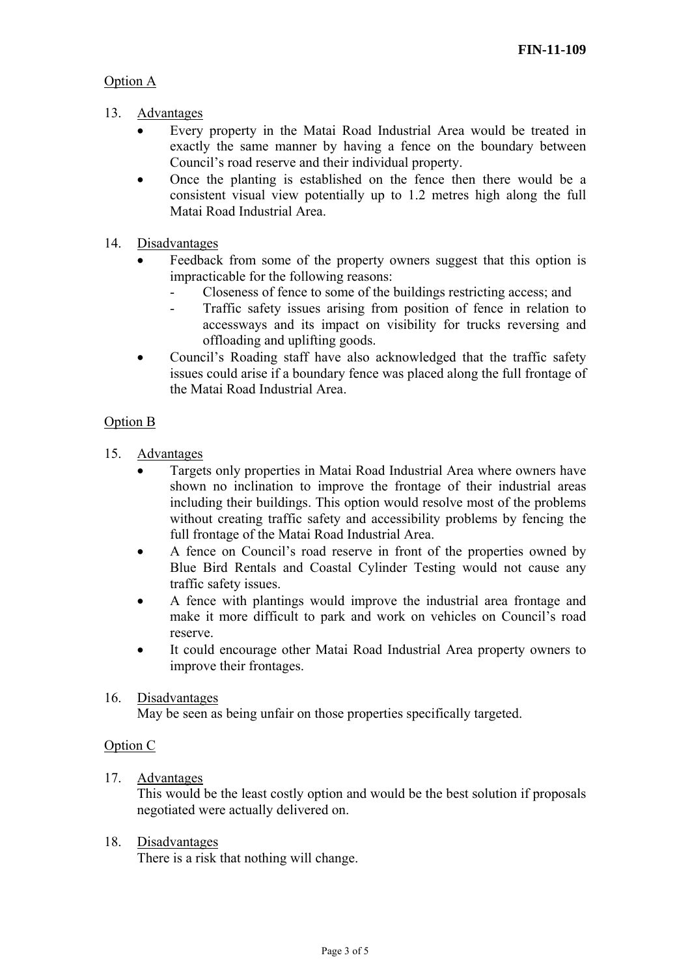## Option A

- 13. Advantages
	- Every property in the Matai Road Industrial Area would be treated in exactly the same manner by having a fence on the boundary between Council's road reserve and their individual property.
	- Once the planting is established on the fence then there would be a consistent visual view potentially up to 1.2 metres high along the full Matai Road Industrial Area.
- 14. Disadvantages
	- Feedback from some of the property owners suggest that this option is impracticable for the following reasons:
		- Closeness of fence to some of the buildings restricting access; and
		- Traffic safety issues arising from position of fence in relation to accessways and its impact on visibility for trucks reversing and offloading and uplifting goods.
	- Council's Roading staff have also acknowledged that the traffic safety issues could arise if a boundary fence was placed along the full frontage of the Matai Road Industrial Area.

### Option B

- 15. Advantages
	- Targets only properties in Matai Road Industrial Area where owners have shown no inclination to improve the frontage of their industrial areas including their buildings. This option would resolve most of the problems without creating traffic safety and accessibility problems by fencing the full frontage of the Matai Road Industrial Area.
	- A fence on Council's road reserve in front of the properties owned by Blue Bird Rentals and Coastal Cylinder Testing would not cause any traffic safety issues.
	- A fence with plantings would improve the industrial area frontage and make it more difficult to park and work on vehicles on Council's road reserve.
	- It could encourage other Matai Road Industrial Area property owners to improve their frontages.

#### 16. Disadvantages

May be seen as being unfair on those properties specifically targeted.

#### Option C

17. Advantages

This would be the least costly option and would be the best solution if proposals negotiated were actually delivered on.

18. Disadvantages

There is a risk that nothing will change.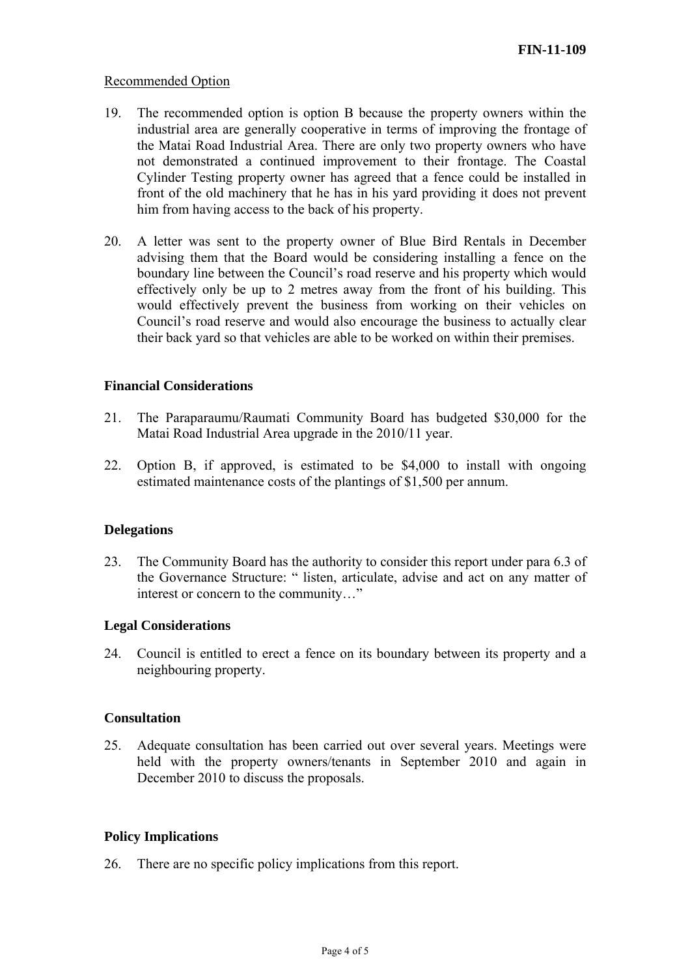#### Recommended Option

- 19. The recommended option is option B because the property owners within the industrial area are generally cooperative in terms of improving the frontage of the Matai Road Industrial Area. There are only two property owners who have not demonstrated a continued improvement to their frontage. The Coastal Cylinder Testing property owner has agreed that a fence could be installed in front of the old machinery that he has in his yard providing it does not prevent him from having access to the back of his property.
- 20. A letter was sent to the property owner of Blue Bird Rentals in December advising them that the Board would be considering installing a fence on the boundary line between the Council's road reserve and his property which would effectively only be up to 2 metres away from the front of his building. This would effectively prevent the business from working on their vehicles on Council's road reserve and would also encourage the business to actually clear their back yard so that vehicles are able to be worked on within their premises.

#### **Financial Considerations**

- 21. The Paraparaumu/Raumati Community Board has budgeted \$30,000 for the Matai Road Industrial Area upgrade in the 2010/11 year.
- 22. Option B, if approved, is estimated to be \$4,000 to install with ongoing estimated maintenance costs of the plantings of \$1,500 per annum.

#### **Delegations**

23. The Community Board has the authority to consider this report under para 6.3 of the Governance Structure: " listen, articulate, advise and act on any matter of interest or concern to the community…"

#### **Legal Considerations**

24. Council is entitled to erect a fence on its boundary between its property and a neighbouring property.

#### **Consultation**

25. Adequate consultation has been carried out over several years. Meetings were held with the property owners/tenants in September 2010 and again in December 2010 to discuss the proposals.

#### **Policy Implications**

26. There are no specific policy implications from this report.